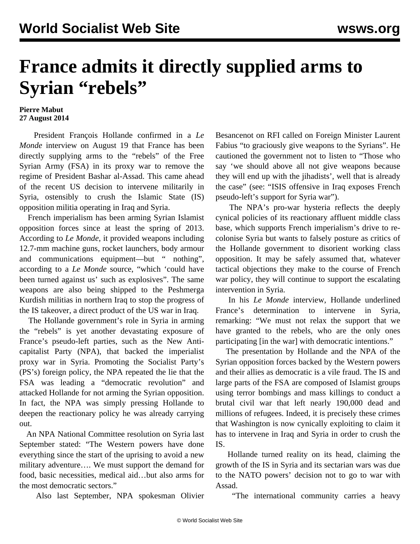## **France admits it directly supplied arms to Syrian "rebels"**

## **Pierre Mabut 27 August 2014**

 President François Hollande confirmed in a *Le Monde* interview on August 19 that France has been directly supplying arms to the "rebels" of the Free Syrian Army (FSA) in its proxy war to remove the regime of President Bashar al-Assad. This came ahead of the recent US decision to intervene militarily in Syria, ostensibly to crush the Islamic State (IS) opposition militia operating in Iraq and Syria.

 French imperialism has been arming Syrian Islamist opposition forces since at least the spring of 2013. According to *Le Monde*, it provided weapons including 12.7-mm machine guns, rocket launchers, body armour and communications equipment—but " nothing", according to a *Le Monde* source, "which 'could have been turned against us' such as explosives". The same weapons are also being shipped to the Peshmerga Kurdish militias in northern Iraq to stop the progress of the IS takeover, a direct product of the US war in Iraq.

 The Hollande government's role in Syria in arming the "rebels" is yet another devastating exposure of France's pseudo-left parties, such as the New Anticapitalist Party (NPA), that backed the imperialist proxy war in Syria. Promoting the Socialist Party's (PS's) foreign policy, the NPA repeated the lie that the FSA was leading a "democratic revolution" and attacked Hollande for not arming the Syrian opposition. In fact, the NPA was simply pressing Hollande to deepen the reactionary policy he was already carrying out.

 An NPA National Committee resolution on Syria last September stated: "The Western powers have done everything since the start of the uprising to avoid a new military adventure…. We must support the demand for food, basic necessities, medical aid…but also arms for the most democratic sectors."

Also last September, NPA spokesman Olivier

Besancenot on RFI called on Foreign Minister Laurent Fabius "to graciously give weapons to the Syrians". He cautioned the government not to listen to "Those who say 'we should above all not give weapons because they will end up with the jihadists', well that is already the case" (see: ["ISIS offensive in Iraq exposes French](/en/articles/2014/06/25/npai-j25.html) [pseudo-left's support for Syria war](/en/articles/2014/06/25/npai-j25.html)").

 The NPA's pro-war hysteria reflects the deeply cynical policies of its reactionary affluent middle class base, which supports French imperialism's drive to recolonise Syria but wants to falsely posture as critics of the Hollande government to disorient working class opposition. It may be safely assumed that, whatever tactical objections they make to the course of French war policy, they will continue to support the escalating intervention in Syria.

 In his *Le Monde* interview, Hollande underlined France's determination to intervene in Syria, remarking: "We must not relax the support that we have granted to the rebels, who are the only ones participating [in the war] with democratic intentions."

 The presentation by Hollande and the NPA of the Syrian opposition forces backed by the Western powers and their allies as democratic is a vile fraud. The IS and large parts of the FSA are composed of Islamist groups using terror bombings and mass killings to conduct a brutal civil war that left nearly 190,000 dead and millions of refugees. Indeed, it is precisely these crimes that Washington is now cynically exploiting to claim it has to intervene in Iraq and Syria in order to crush the IS.

 Hollande turned reality on its head, claiming the growth of the IS in Syria and its sectarian wars was due to the NATO powers' decision not to go to war with Assad.

"The international community carries a heavy